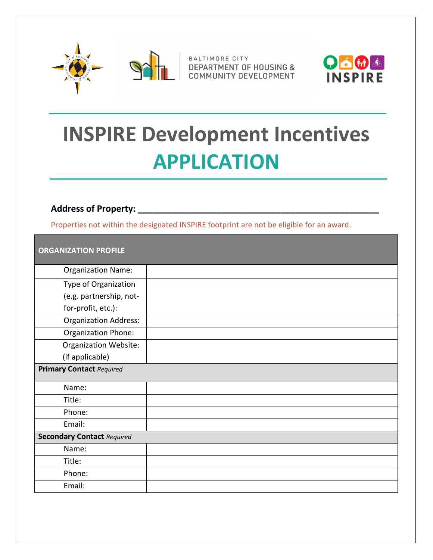



BALTIMORE CITY **MENT OF HOUSING &** COMMUNITY DEVELOPMENT



# **INSPIRE Development Incentives APPLICATION**

#### **Address of Property: \_\_\_\_\_\_\_\_\_\_\_\_\_\_\_\_\_\_\_\_\_\_\_\_\_\_\_\_\_\_\_\_\_\_\_\_\_\_\_\_\_\_\_\_\_\_\_\_\_**

Properties not within the designated INSPIRE footprint are not be eligible for an award.

| <b>ORGANIZATION PROFILE</b>       |  |
|-----------------------------------|--|
| <b>Organization Name:</b>         |  |
| Type of Organization              |  |
| (e.g. partnership, not-           |  |
| for-profit, etc.):                |  |
| <b>Organization Address:</b>      |  |
| Organization Phone:               |  |
| <b>Organization Website:</b>      |  |
| (if applicable)                   |  |
| <b>Primary Contact Required</b>   |  |
| Name:                             |  |
| Title:                            |  |
| Phone:                            |  |
| Email:                            |  |
| <b>Secondary Contact Required</b> |  |
| Name:                             |  |
| Title:                            |  |
| Phone:                            |  |
| Email:                            |  |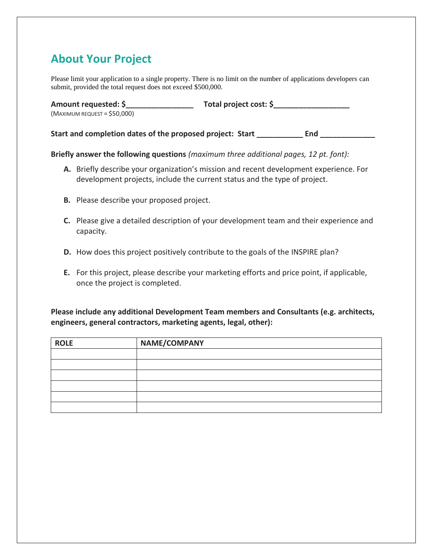## **About Your Project**

Please limit your application to a single property. There is no limit on the number of applications developers can submit, provided the total request does not exceed \$500,000.

| Amount requested: \$          | Total project cost: \$ |
|-------------------------------|------------------------|
| $(MAXIMUM REQUEST = $50,000)$ |                        |

Start and completion dates of the proposed project: Start \_\_\_\_\_\_\_\_\_\_\_\_\_\_\_\_\_\_\_\_\_\_ End

**Briefly answer the following questions** *(maximum three additional pages, 12 pt. font):*

- **A.** Briefly describe your organization's mission and recent development experience. For development projects, include the current status and the type of project.
- **B.** Please describe your proposed project.
- **C.** Please give a detailed description of your development team and their experience and capacity.
- **D.** How does this project positively contribute to the goals of the INSPIRE plan?
- **E.** For this project, please describe your marketing efforts and price point, if applicable, once the project is completed.

**Please include any additional Development Team members and Consultants (e.g. architects, engineers, general contractors, marketing agents, legal, other):** 

| <b>ROLE</b> | NAME/COMPANY |
|-------------|--------------|
|             |              |
|             |              |
|             |              |
|             |              |
|             |              |
|             |              |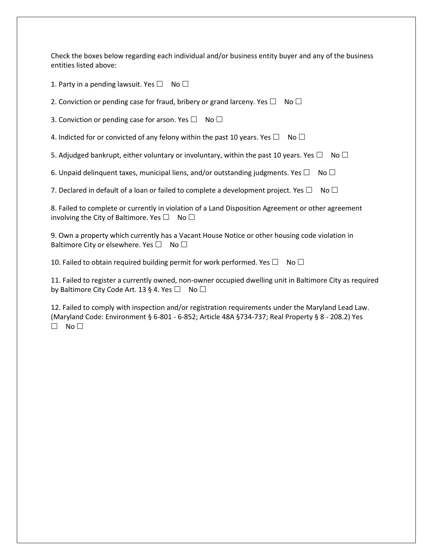Check the boxes below regarding each individual and/or business entity buyer and any of the business entities listed above:

1. Party in a pending lawsuit. Yes  $\Box$  No  $\Box$ 

2. Conviction or pending case for fraud, bribery or grand larceny. Yes  $\Box$  No  $\Box$ 

3. Conviction or pending case for arson. Yes  $\Box$  No  $\Box$ 

4. Indicted for or convicted of any felony within the past 10 years. Yes  $\Box$  No  $\Box$ 

5. Adjudged bankrupt, either voluntary or involuntary, within the past 10 years. Yes  $\Box$  No  $\Box$ 

6. Unpaid delinquent taxes, municipal liens, and/or outstanding judgments. Yes  $\Box$  No  $\Box$ 

7. Declared in default of a loan or failed to complete a development project. Yes  $\Box$  No  $\Box$ 

8. Failed to complete or currently in violation of a Land Disposition Agreement or other agreement involving the City of Baltimore. Yes  $\Box$  No  $\Box$ 

9. Own a property which currently has a Vacant House Notice or other housing code violation in Baltimore City or elsewhere. Yes  $\Box$  No  $\Box$ 

10. Failed to obtain required building permit for work performed. Yes  $\Box$  No  $\Box$ 

11. Failed to register a currently owned, non-owner occupied dwelling unit in Baltimore City as required by Baltimore City Code Art. 13 § 4. Yes  $\Box$  No  $\Box$ 

12. Failed to comply with inspection and/or registration requirements under the Maryland Lead Law. (Maryland Code: Environment § 6-801 - 6-852; Article 48A §734-737; Real Property § 8 - 208.2) Yes  $\Box$  No  $\Box$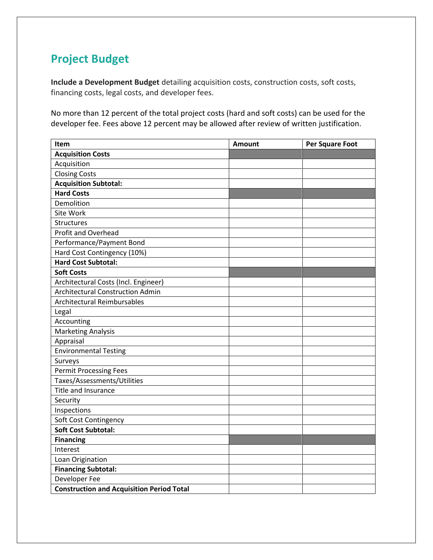# **Project Budget**

**Include a Development Budget** detailing acquisition costs, construction costs, soft costs, financing costs, legal costs, and developer fees.

No more than 12 percent of the total project costs (hard and soft costs) can be used for the developer fee. Fees above 12 percent may be allowed after review of written justification.

| Item                                             | <b>Amount</b> | <b>Per Square Foot</b> |
|--------------------------------------------------|---------------|------------------------|
| <b>Acquisition Costs</b>                         |               |                        |
| Acquisition                                      |               |                        |
| <b>Closing Costs</b>                             |               |                        |
| <b>Acquisition Subtotal:</b>                     |               |                        |
| <b>Hard Costs</b>                                |               |                        |
| Demolition                                       |               |                        |
| Site Work                                        |               |                        |
| <b>Structures</b>                                |               |                        |
| Profit and Overhead                              |               |                        |
| Performance/Payment Bond                         |               |                        |
| Hard Cost Contingency (10%)                      |               |                        |
| <b>Hard Cost Subtotal:</b>                       |               |                        |
| <b>Soft Costs</b>                                |               |                        |
| Architectural Costs (Incl. Engineer)             |               |                        |
| <b>Architectural Construction Admin</b>          |               |                        |
| <b>Architectural Reimbursables</b>               |               |                        |
| Legal                                            |               |                        |
| Accounting                                       |               |                        |
| <b>Marketing Analysis</b>                        |               |                        |
| Appraisal                                        |               |                        |
| <b>Environmental Testing</b>                     |               |                        |
| Surveys                                          |               |                        |
| <b>Permit Processing Fees</b>                    |               |                        |
| Taxes/Assessments/Utilities                      |               |                        |
| Title and Insurance                              |               |                        |
| Security                                         |               |                        |
| Inspections                                      |               |                        |
| Soft Cost Contingency                            |               |                        |
| <b>Soft Cost Subtotal:</b>                       |               |                        |
| <b>Financing</b>                                 |               |                        |
| Interest                                         |               |                        |
| Loan Origination                                 |               |                        |
| <b>Financing Subtotal:</b>                       |               |                        |
| Developer Fee                                    |               |                        |
| <b>Construction and Acquisition Period Total</b> |               |                        |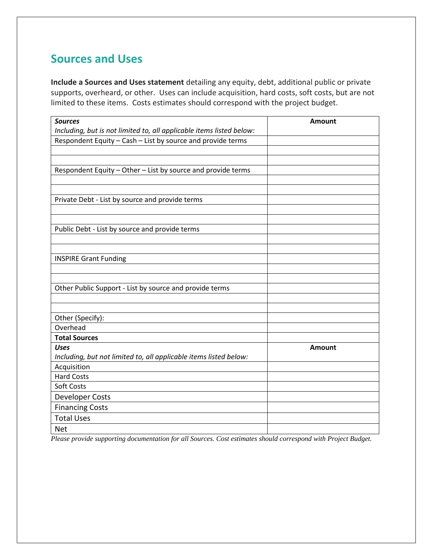## **Sources and Uses**

**Include a Sources and Uses statement** detailing any equity, debt, additional public or private supports, overheard, or other. Uses can include acquisition, hard costs, soft costs, but are not limited to these items. Costs estimates should correspond with the project budget.

| <b>Sources</b>                                                       | <b>Amount</b> |
|----------------------------------------------------------------------|---------------|
| Including, but is not limited to, all applicable items listed below: |               |
| Respondent Equity - Cash - List by source and provide terms          |               |
|                                                                      |               |
|                                                                      |               |
| Respondent Equity - Other - List by source and provide terms         |               |
|                                                                      |               |
| Private Debt - List by source and provide terms                      |               |
|                                                                      |               |
|                                                                      |               |
| Public Debt - List by source and provide terms                       |               |
|                                                                      |               |
|                                                                      |               |
| <b>INSPIRE Grant Funding</b>                                         |               |
|                                                                      |               |
| Other Public Support - List by source and provide terms              |               |
|                                                                      |               |
|                                                                      |               |
| Other (Specify):                                                     |               |
| Overhead                                                             |               |
| <b>Total Sources</b>                                                 |               |
| <b>Uses</b>                                                          | <b>Amount</b> |
| Including, but not limited to, all applicable items listed below:    |               |
| Acquisition                                                          |               |
| <b>Hard Costs</b>                                                    |               |
| Soft Costs                                                           |               |
| Developer Costs                                                      |               |
| <b>Financing Costs</b>                                               |               |
| <b>Total Uses</b>                                                    |               |
| <b>Net</b>                                                           |               |

*Please provide supporting documentation for all Sources. Cost estimates should correspond with Project Budget.*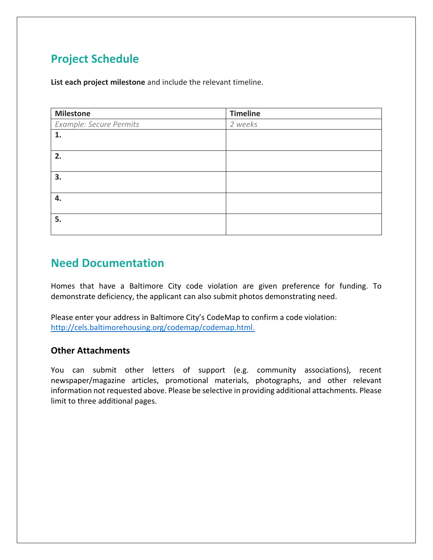# **Project Schedule**

**List each project milestone** and include the relevant timeline.

| <b>Milestone</b>        | <b>Timeline</b> |
|-------------------------|-----------------|
| Example: Secure Permits | 2 weeks         |
| 1.                      |                 |
|                         |                 |
| 2.                      |                 |
|                         |                 |
| 3.                      |                 |
|                         |                 |
| 4.                      |                 |
|                         |                 |
| 5.                      |                 |
|                         |                 |

## **Need Documentation**

Homes that have a Baltimore City code violation are given preference for funding. To demonstrate deficiency, the applicant can also submit photos demonstrating need.

Please enter your address in Baltimore City's CodeMap to confirm a code violation: [http://cels.baltimorehousing.org/codemap/codemap.html.](http://cels.baltimorehousing.org/codemap/codemap.html)

#### **Other Attachments**

You can submit other letters of support (e.g. community associations), recent newspaper/magazine articles, promotional materials, photographs, and other relevant information not requested above. Please be selective in providing additional attachments. Please limit to three additional pages.